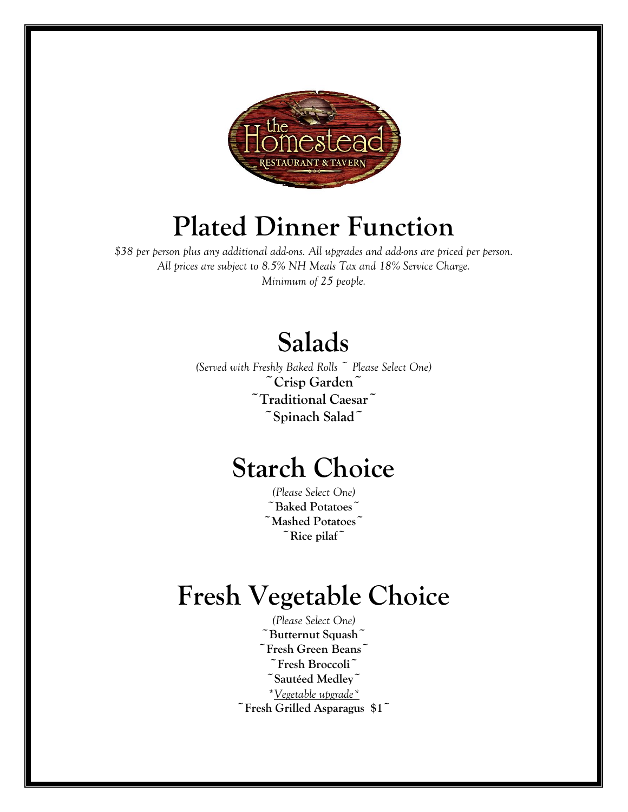

# **Plated Dinner Function**

*\$38 per person plus any additional add-ons. All upgrades and add-ons are priced per person. All prices are subject to 8.5% NH Meals Tax and 18% Service Charge. Minimum of 25 people.*

# **Salads**

*(Served with Freshly Baked Rolls ~ Please Select One)* **~Crisp Garden~ ~Traditional Caesar~ ~Spinach Salad~**

# **Starch Choice**

*(Please Select One)* **~Baked Potatoes~ ~Mashed Potatoes~ ~Rice pilaf~**

# **Fresh Vegetable Choice**

*(Please Select One)* **~Butternut Squash~ ~Fresh Green Beans~ ~Fresh Broccoli~ ~Sautéed Medley~** *\*Vegetable upgrade\** **~Fresh Grilled Asparagus \$1~**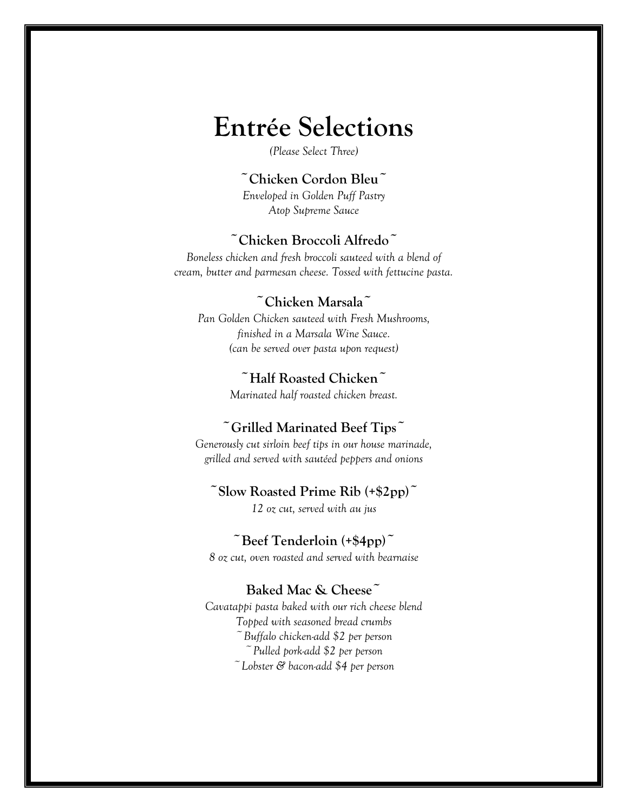# **Entrée Selections**

*(Please Select Three)*

#### **~Chicken Cordon Bleu~**

*Enveloped in Golden Puff Pastry Atop Supreme Sauce*

#### **~Chicken Broccoli Alfredo~**

*Boneless chicken and fresh broccoli sauteed with a blend of cream, butter and parmesan cheese. Tossed with fettucine pasta.*

#### **~Chicken Marsala~**

*Pan Golden Chicken sauteed with Fresh Mushrooms, finished in a Marsala Wine Sauce. (can be served over pasta upon request)*

#### **~Half Roasted Chicken~**

*Marinated half roasted chicken breast.*

### **~Grilled Marinated Beef Tips~**

*Generously cut sirloin beef tips in our house marinade, grilled and served with sautéed peppers and onions*

#### **~Slow Roasted Prime Rib (+\$2pp)~**

*12 oz cut, served with au jus*

#### **~Beef Tenderloin (+\$4pp)~**

*8 oz cut, oven roasted and served with bearnaise*

#### **Baked Mac & Cheese~**

*Cavatappi pasta baked with our rich cheese blend Topped with seasoned bread crumbs ~Buffalo chicken-add \$2 per person ~Pulled pork-add \$2 per person ~Lobster & bacon-add \$4 per person*